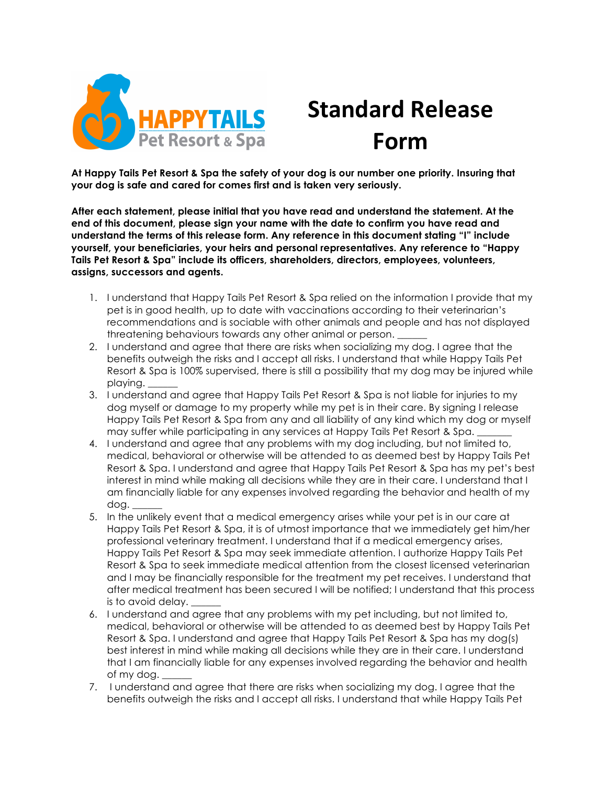

## **Standard Release Form**

**At Happy Tails Pet Resort & Spa the safety of your dog is our number one priority. Insuring that your dog is safe and cared for comes first and is taken very seriously.**

**After each statement, please initial that you have read and understand the statement. At the end of this document, please sign your name with the date to confirm you have read and understand the terms of this release form. Any reference in this document stating "I" include yourself, your beneficiaries, your heirs and personal representatives. Any reference to "Happy Tails Pet Resort & Spa" include its officers, shareholders, directors, employees, volunteers, assigns, successors and agents.**

- 1. I understand that Happy Tails Pet Resort & Spa relied on the information I provide that my pet is in good health, up to date with vaccinations according to their veterinarian's recommendations and is sociable with other animals and people and has not displayed threatening behaviours towards any other animal or person. \_\_\_\_\_\_
- 2. I understand and agree that there are risks when socializing my dog. I agree that the benefits outweigh the risks and I accept all risks. I understand that while Happy Tails Pet Resort & Spa is 100% supervised, there is still a possibility that my dog may be injured while playing.
- 3. I understand and agree that Happy Tails Pet Resort & Spa is not liable for injuries to my dog myself or damage to my property while my pet is in their care. By signing I release Happy Tails Pet Resort & Spa from any and all liability of any kind which my dog or myself may suffer while participating in any services at Happy Tails Pet Resort & Spa.
- 4. I understand and agree that any problems with my dog including, but not limited to, medical, behavioral or otherwise will be attended to as deemed best by Happy Tails Pet Resort & Spa. I understand and agree that Happy Tails Pet Resort & Spa has my pet's best interest in mind while making all decisions while they are in their care. I understand that I am financially liable for any expenses involved regarding the behavior and health of my dog. \_\_\_\_\_\_
- 5. In the unlikely event that a medical emergency arises while your pet is in our care at Happy Tails Pet Resort & Spa, it is of utmost importance that we immediately get him/her professional veterinary treatment. I understand that if a medical emergency arises, Happy Tails Pet Resort & Spa may seek immediate attention. I authorize Happy Tails Pet Resort & Spa to seek immediate medical attention from the closest licensed veterinarian and I may be financially responsible for the treatment my pet receives. I understand that after medical treatment has been secured I will be notified; I understand that this process is to avoid delay.
- 6. I understand and agree that any problems with my pet including, but not limited to, medical, behavioral or otherwise will be attended to as deemed best by Happy Tails Pet Resort & Spa. I understand and agree that Happy Tails Pet Resort & Spa has my dog(s) best interest in mind while making all decisions while they are in their care. I understand that I am financially liable for any expenses involved regarding the behavior and health of my dog.
- 7. I understand and agree that there are risks when socializing my dog. I agree that the benefits outweigh the risks and I accept all risks. I understand that while Happy Tails Pet